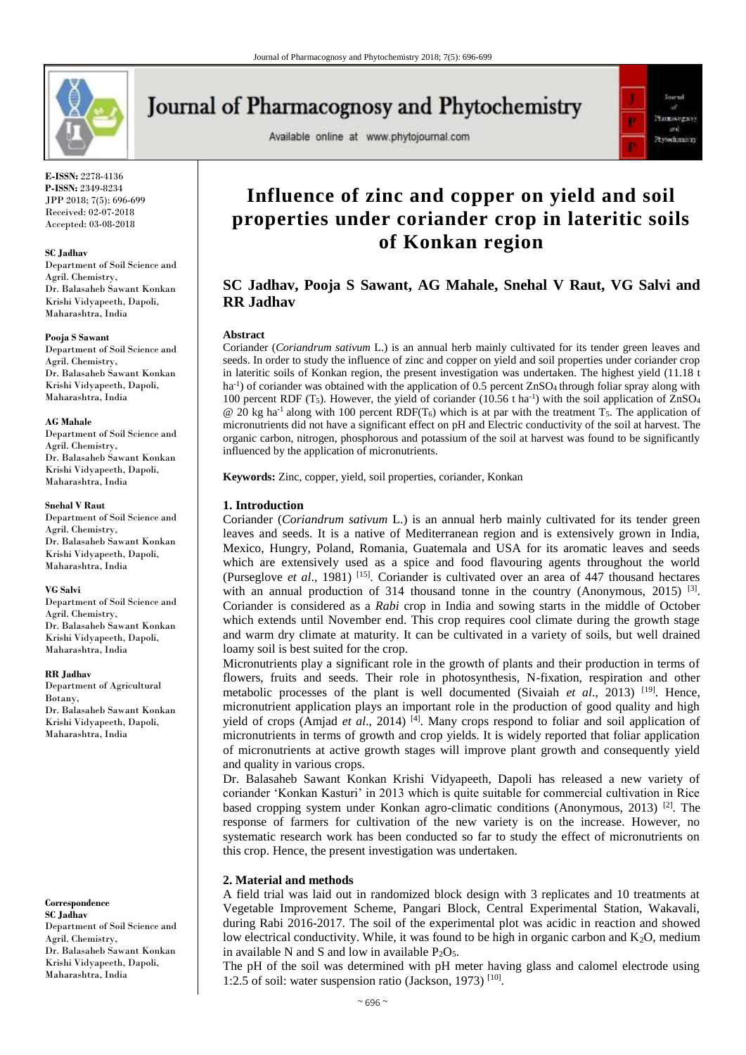

**E-ISSN:** 2278-4136 **P-ISSN:** 2349-8234 JPP 2018; 7(5): 696-699 Received: 02-07-2018 Accepted: 03-08-2018

#### **SC Jadhav**

Department of Soil Science and Agril. Chemistry, Dr. Balasaheb Sawant Konkan Krishi Vidyapeeth, Dapoli, Maharashtra, India

#### **Pooja S Sawant**

Department of Soil Science and Agril. Chemistry, Dr. Balasaheb Sawant Konkan Krishi Vidyapeeth, Dapoli, Maharashtra, India

#### **AG Mahale**

Department of Soil Science and Agril. Chemistry, Dr. Balasaheb Sawant Konkan Krishi Vidyapeeth, Dapoli, Maharashtra, India

#### **Snehal V Raut**

Department of Soil Science and Agril. Chemistry, Dr. Balasaheb Sawant Konkan Krishi Vidyapeeth, Dapoli, Maharashtra, India

#### **VG Salvi**

Department of Soil Science and Agril. Chemistry, Dr. Balasaheb Sawant Konkan Krishi Vidyapeeth, Dapoli, Maharashtra, India

#### **RR Jadhav**

Department of Agricultural Botany, Dr. Balasaheb Sawant Konkan Krishi Vidyapeeth, Dapoli, Maharashtra, India

**Correspondence SC Jadhav** Department of Soil Science and Agril. Chemistry, Dr. Balasaheb Sawant Konkan Krishi Vidyapeeth, Dapoli, Maharashtra, India

# **Journal of Pharmacognosy and Phytochemistry**

Available online at www.phytojournal.com



## **Influence of zinc and copper on yield and soil properties under coriander crop in lateritic soils of Konkan region**

## **SC Jadhav, Pooja S Sawant, AG Mahale, Snehal V Raut, VG Salvi and RR Jadhav**

#### **Abstract**

Coriander (*Coriandrum sativum* L.) is an annual herb mainly cultivated for its tender green leaves and seeds. In order to study the influence of zinc and copper on yield and soil properties under coriander crop in lateritic soils of Konkan region, the present investigation was undertaken. The highest yield (11.18 t ha<sup>-1</sup>) of coriander was obtained with the application of 0.5 percent ZnSO<sub>4</sub> through foliar spray along with 100 percent RDF (T<sub>5</sub>). However, the yield of coriander (10.56 t ha<sup>-1</sup>) with the soil application of ZnSO<sub>4</sub>  $\omega$  20 kg ha<sup>-1</sup> along with 100 percent RDF(T<sub>6</sub>) which is at par with the treatment T<sub>5</sub>. The application of micronutrients did not have a significant effect on pH and Electric conductivity of the soil at harvest. The organic carbon, nitrogen, phosphorous and potassium of the soil at harvest was found to be significantly influenced by the application of micronutrients.

**Keywords:** Zinc, copper, yield, soil properties, coriander, Konkan

#### **1. Introduction**

Coriander (*Coriandrum sativum* L.) is an annual herb mainly cultivated for its tender green leaves and seeds. It is a native of Mediterranean region and is extensively grown in India, Mexico, Hungry, Poland, Romania, Guatemala and USA for its aromatic leaves and seeds which are extensively used as a spice and food flavouring agents throughout the world (Purseglove *et al*., 1981) [15] . Coriander is cultivated over an area of 447 thousand hectares with an annual production of 314 thousand tonne in the country (Anonymous, 2015)<sup>[3]</sup>. Coriander is considered as a *Rabi* crop in India and sowing starts in the middle of October which extends until November end. This crop requires cool climate during the growth stage and warm dry climate at maturity. It can be cultivated in a variety of soils, but well drained loamy soil is best suited for the crop.

Micronutrients play a significant role in the growth of plants and their production in terms of flowers, fruits and seeds. Their role in photosynthesis, N-fixation, respiration and other metabolic processes of the plant is well documented (Sivaiah *et al.*, 2013) <sup>[19]</sup>. Hence, micronutrient application plays an important role in the production of good quality and high yield of crops (Amjad *et al.*, 2014)<sup>[4]</sup>. Many crops respond to foliar and soil application of micronutrients in terms of growth and crop yields. It is widely reported that foliar application of micronutrients at active growth stages will improve plant growth and consequently yield and quality in various crops.

Dr. Balasaheb Sawant Konkan Krishi Vidyapeeth, Dapoli has released a new variety of coriander 'Konkan Kasturi' in 2013 which is quite suitable for commercial cultivation in Rice based cropping system under Konkan agro-climatic conditions (Anonymous, 2013)<sup>[2]</sup>. The response of farmers for cultivation of the new variety is on the increase. However, no systematic research work has been conducted so far to study the effect of micronutrients on this crop. Hence, the present investigation was undertaken.

## **2. Material and methods**

A field trial was laid out in randomized block design with 3 replicates and 10 treatments at Vegetable Improvement Scheme, Pangari Block, Central Experimental Station, Wakavali, during Rabi 2016-2017. The soil of the experimental plot was acidic in reaction and showed low electrical conductivity. While, it was found to be high in organic carbon and  $K_2O$ , medium in available N and S and low in available  $P_2O_5$ .

The pH of the soil was determined with pH meter having glass and calomel electrode using 1:2.5 of soil: water suspension ratio (Jackson, 1973)<sup>[10]</sup>.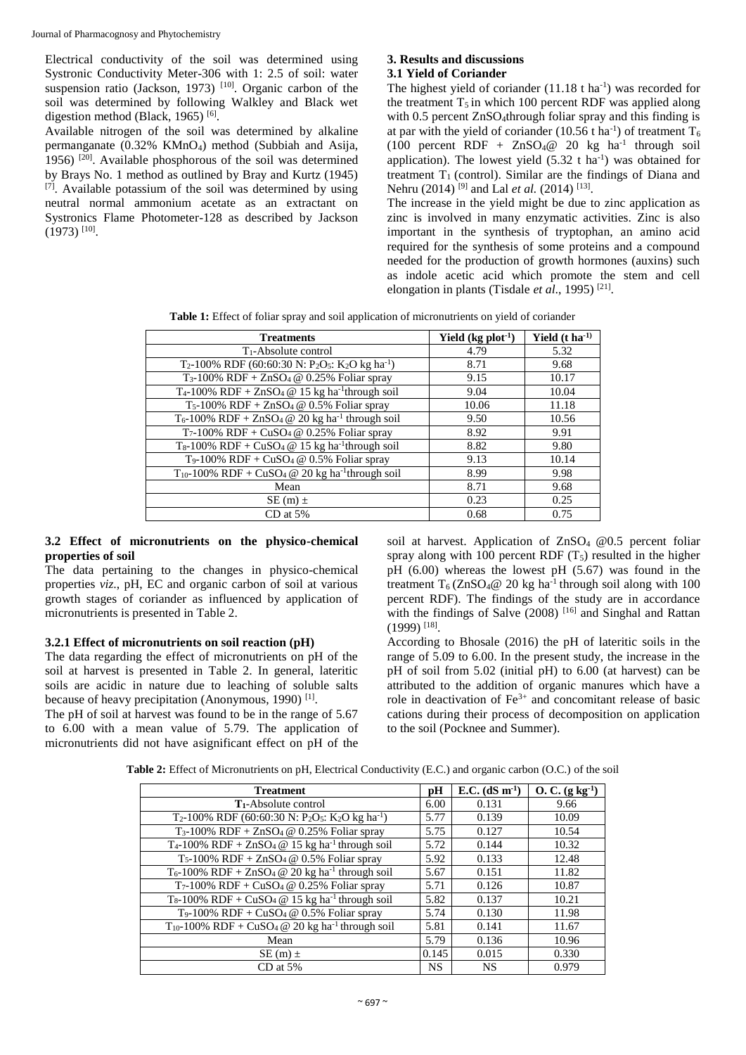Electrical conductivity of the soil was determined using Systronic Conductivity Meter-306 with 1: 2.5 of soil: water suspension ratio (Jackson, 1973)<sup>[10]</sup>. Organic carbon of the soil was determined by following Walkley and Black wet digestion method (Black, 1965)<sup>[6]</sup>.

Available nitrogen of the soil was determined by alkaline permanganate  $(0.32\% \text{ KMnO}_4)$  method (Subbiah and Asija, 1956)  $[20]$ . Available phosphorous of the soil was determined by Brays No. 1 method as outlined by Bray and Kurtz (1945)  $[7]$ . Available potassium of the soil was determined by using neutral normal ammonium acetate as an extractant on Systronics Flame Photometer-128 as described by Jackson  $(1973)$ <sup>[10]</sup>.

#### **3. Results and discussions 3.1 Yield of Coriander**

The highest yield of coriander  $(11.18 \text{ t} \text{ ha}^{-1})$  was recorded for the treatment  $T_5$  in which 100 percent RDF was applied along with 0.5 percent ZnSO<sub>4</sub>through foliar spray and this finding is at par with the yield of coriander (10.56 t ha<sup>-1</sup>) of treatment  $T_6$  $(100$  percent RDF + ZnSO<sub>4</sub>@ 20 kg ha<sup>-1</sup> through soil application). The lowest yield  $(5.32 \text{ t} \text{ ha}^{-1})$  was obtained for treatment  $T_1$  (control). Similar are the findings of Diana and Nehru (2014)<sup>[9]</sup> and Lal *et al.* (2014)<sup>[13]</sup>.

The increase in the yield might be due to zinc application as zinc is involved in many enzymatic activities. Zinc is also important in the synthesis of tryptophan, an amino acid required for the synthesis of some proteins and a compound needed for the production of growth hormones (auxins) such as indole acetic acid which promote the stem and cell elongation in plants (Tisdale *et al.*, 1995)<sup>[21]</sup>.

**Table 1:** Effect of foliar spray and soil application of micronutrients on yield of coriander

| <b>Treatments</b>                                                                                            | Yield $(kg$ plot <sup>-1</sup> ) | Yield $(t \text{ ha}^{-1})$ |
|--------------------------------------------------------------------------------------------------------------|----------------------------------|-----------------------------|
| $T_1$ -Absolute control                                                                                      | 4.79                             | 5.32                        |
| T <sub>2</sub> -100% RDF (60:60:30 N: P <sub>2</sub> O <sub>5</sub> : K <sub>2</sub> O kg ha <sup>-1</sup> ) | 8.71                             | 9.68                        |
| $T_3-100\%$ RDF + ZnSO <sub>4</sub> @ 0.25% Foliar spray                                                     | 9.15                             | 10.17                       |
| T <sub>4</sub> -100% RDF + ZnSO <sub>4</sub> $@$ 15 kg ha <sup>-1</sup> through soil                         | 9.04                             | 10.04                       |
| $T_5-100\%$ RDF + ZnSO <sub>4</sub> @ 0.5% Foliar spray                                                      | 10.06                            | 11.18                       |
| $T_6$ -100% RDF + ZnSO <sub>4</sub> @ 20 kg ha <sup>-1</sup> through soil                                    | 9.50                             | 10.56                       |
| $T_7$ -100% RDF + CuSO <sub>4</sub> @ 0.25% Foliar spray                                                     | 8.92                             | 9.91                        |
| $T_8$ -100% RDF + CuSO <sub>4</sub> @ 15 kg ha <sup>-1</sup> through soil                                    | 8.82                             | 9.80                        |
| T <sub>9</sub> -100% RDF + CuSO <sub>4</sub> @ 0.5% Foliar spray                                             | 9.13                             | 10.14                       |
| $T_{10}$ -100% RDF + CuSO <sub>4</sub> @ 20 kg ha <sup>-1</sup> through soil                                 | 8.99                             | 9.98                        |
| Mean                                                                                                         | 8.71                             | 9.68                        |
| $SE(m) \pm$                                                                                                  | 0.23                             | 0.25                        |
| CD at 5%                                                                                                     | 0.68                             | 0.75                        |

### **3.2 Effect of micronutrients on the physico-chemical properties of soil**

The data pertaining to the changes in physico-chemical properties *viz*., pH, EC and organic carbon of soil at various growth stages of coriander as influenced by application of micronutrients is presented in Table 2.

## **3.2.1 Effect of micronutrients on soil reaction (pH)**

The data regarding the effect of micronutrients on pH of the soil at harvest is presented in Table 2. In general, lateritic soils are acidic in nature due to leaching of soluble salts because of heavy precipitation (Anonymous, 1990)<sup>[1]</sup>.

The pH of soil at harvest was found to be in the range of 5.67 to 6.00 with a mean value of 5.79. The application of micronutrients did not have asignificant effect on pH of the soil at harvest. Application of  $ZnSO<sub>4</sub> \tQ0.5$  percent foliar spray along with 100 percent RDF  $(T_5)$  resulted in the higher pH (6.00) whereas the lowest pH (5.67) was found in the treatment  $T_6$  (ZnSO<sub>4</sub>@ 20 kg ha<sup>-1</sup> through soil along with 100 percent RDF). The findings of the study are in accordance with the findings of Salve  $(2008)$ <sup>[16]</sup> and Singhal and Rattan  $(1999)$ <sup>[18]</sup>.

According to Bhosale (2016) the pH of lateritic soils in the range of 5.09 to 6.00. In the present study, the increase in the pH of soil from 5.02 (initial pH) to 6.00 (at harvest) can be attributed to the addition of organic manures which have a role in deactivation of  $Fe^{3+}$  and concomitant release of basic cations during their process of decomposition on application to the soil (Pocknee and Summer).

| <b>Treatment</b>                                                                                             | pH        | E.C. $(dS \, m^{-1})$ | $O. C. (g kg-1)$ |
|--------------------------------------------------------------------------------------------------------------|-----------|-----------------------|------------------|
| <b>T</b> <sub>1</sub> -Absolute control                                                                      | 6.00      | 0.131                 | 9.66             |
| T <sub>2</sub> -100% RDF (60:60:30 N: P <sub>2</sub> O <sub>5</sub> : K <sub>2</sub> O kg ha <sup>-1</sup> ) | 5.77      | 0.139                 | 10.09            |
| T <sub>3</sub> -100% RDF + ZnSO <sub>4</sub> @ 0.25% Foliar spray                                            | 5.75      | 0.127                 | 10.54            |
| T <sub>4</sub> -100% RDF + ZnSO <sub>4</sub> $@$ 15 kg ha <sup>-1</sup> through soil                         | 5.72      | 0.144                 | 10.32            |
| T <sub>5</sub> -100% RDF + ZnSO <sub>4</sub> @ $0.5%$ Foliar spray                                           | 5.92      | 0.133                 | 12.48            |
| $T_6$ -100% RDF + ZnSO <sub>4</sub> @ 20 kg ha <sup>-1</sup> through soil                                    | 5.67      | 0.151                 | 11.82            |
| $T_7$ -100% RDF + CuSO <sub>4</sub> @ 0.25% Foliar spray                                                     | 5.71      | 0.126                 | 10.87            |
| $T_8-100\%$ RDF + CuSO <sub>4</sub> @ 15 kg ha <sup>-1</sup> through soil                                    | 5.82      | 0.137                 | 10.21            |
| T <sub>9</sub> -100% RDF + CuSO <sub>4</sub> @ 0.5% Foliar spray                                             | 5.74      | 0.130                 | 11.98            |
| T <sub>10</sub> -100% RDF + CuSO <sub>4</sub> @ 20 kg ha <sup>-1</sup> through soil                          | 5.81      | 0.141                 | 11.67            |
| Mean                                                                                                         | 5.79      | 0.136                 | 10.96            |
| $SE(m) \pm$                                                                                                  | 0.145     | 0.015                 | 0.330            |
| $CD$ at $5%$                                                                                                 | <b>NS</b> | <b>NS</b>             | 0.979            |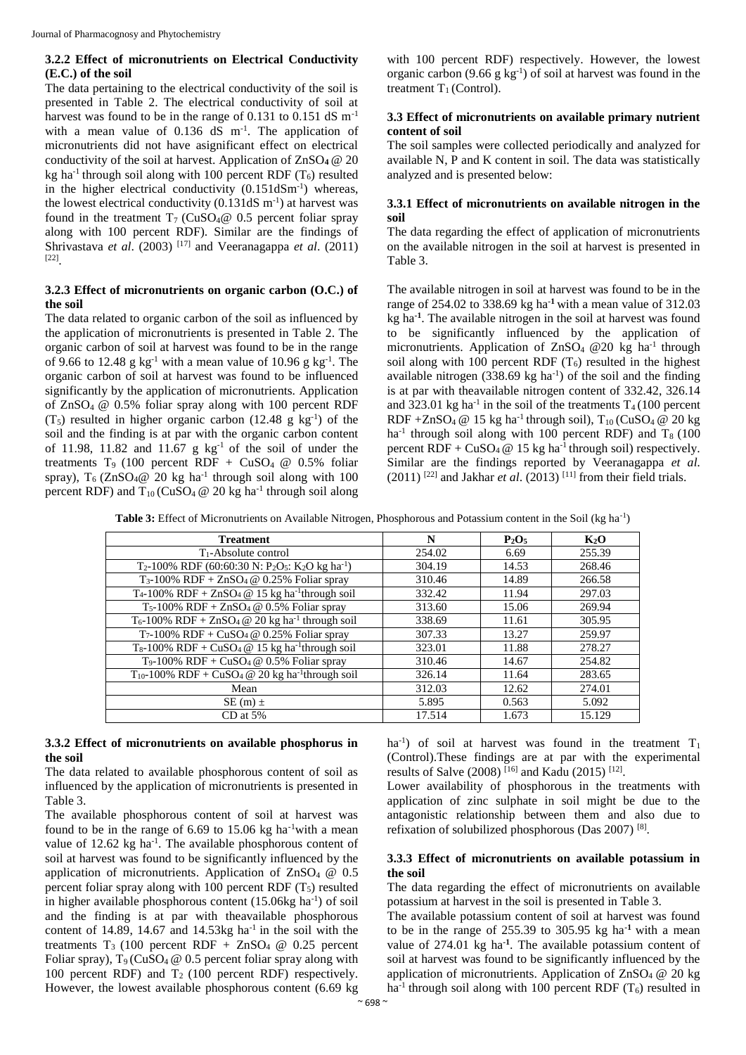## **3.2.2 Effect of micronutrients on Electrical Conductivity (E.C.) of the soil**

The data pertaining to the electrical conductivity of the soil is presented in Table 2. The electrical conductivity of soil at harvest was found to be in the range of 0.131 to 0.151 dS m<sup>-1</sup> with a mean value of  $0.136$  dS m<sup>-1</sup>. The application of micronutrients did not have asignificant effect on electrical conductivity of the soil at harvest. Application of ZnSO**4** @ 20 kg ha<sup>-1</sup> through soil along with 100 percent RDF ( $T_6$ ) resulted in the higher electrical conductivity  $(0.151dSm<sup>-1</sup>)$  whereas, the lowest electrical conductivity  $(0.131dS \, \text{m}^{-1})$  at harvest was found in the treatment  $T_7$  (CuSO<sub>4</sub><sup> $\omega$ </sup> 0.5 percent foliar spray along with 100 percent RDF). Similar are the findings of Shrivastava *et al*. (2003) [17] and Veeranagappa *et al*. (2011) [22] .

## **3.2.3 Effect of micronutrients on organic carbon (O.C.) of the soil**

The data related to organic carbon of the soil as influenced by the application of micronutrients is presented in Table 2. The organic carbon of soil at harvest was found to be in the range of 9.66 to 12.48  $g$  kg<sup>-1</sup> with a mean value of 10.96  $g$  kg<sup>-1</sup>. The organic carbon of soil at harvest was found to be influenced significantly by the application of micronutrients. Application of ZnSO4 @ 0.5% foliar spray along with 100 percent RDF  $(T_5)$  resulted in higher organic carbon (12.48 g kg<sup>-1</sup>) of the soil and the finding is at par with the organic carbon content of 11.98, 11.82 and 11.67 g  $kg^{-1}$  of the soil of under the treatments T<sub>9</sub> (100 percent RDF + CuSO<sub>4</sub>  $@$  0.5% foliar spray),  $T_6$  (ZnSO<sub>4</sub>@ 20 kg ha<sup>-1</sup> through soil along with 100 percent RDF) and  $T_{10}$  (CuSO<sub>4</sub> @ 20 kg ha<sup>-1</sup> through soil along with 100 percent RDF) respectively. However, the lowest organic carbon  $(9.66 \text{ g kg}^{-1})$  of soil at harvest was found in the treatment  $T_1$  (Control).

## **3.3 Effect of micronutrients on available primary nutrient content of soil**

The soil samples were collected periodically and analyzed for available N, P and K content in soil. The data was statistically analyzed and is presented below:

## **3.3.1 Effect of micronutrients on available nitrogen in the soil**

The data regarding the effect of application of micronutrients on the available nitrogen in the soil at harvest is presented in Table 3.

The available nitrogen in soil at harvest was found to be in the range of 254.02 to 338.69 kg ha**-1** with a mean value of 312.03 kg ha**-1** . The available nitrogen in the soil at harvest was found to be significantly influenced by the application of micronutrients. Application of  $ZnSO_4 \t Q20$  kg ha<sup>-1</sup> through soil along with 100 percent RDF  $(T_6)$  resulted in the highest available nitrogen  $(338.69 \text{ kg} \text{ ha}^{-1})$  of the soil and the finding is at par with theavailable nitrogen content of 332.42, 326.14 and 323.01 kg ha<sup>-1</sup> in the soil of the treatments  $T_4$  (100 percent RDF +ZnSO<sub>4</sub> @ 15 kg ha<sup>-1</sup> through soil),  $T_{10}$  (CuSO<sub>4</sub> @ 20 kg ha<sup>-1</sup> through soil along with 100 percent RDF) and  $T_8$  (100 percent RDF +  $CuSO_4 \ @$  15 kg ha<sup>-1</sup> through soil) respectively. Similar are the findings reported by Veeranagappa *et al.*  $(2011)$ <sup>[22]</sup> and Jakhar *et al.*  $(2013)$ <sup>[11]</sup> from their field trials.

Table 3: Effect of Micronutrients on Available Nitrogen, Phosphorous and Potassium content in the Soil (kg ha<sup>-1</sup>)

| <b>Treatment</b>                                                                                             | N      | $P_2O_5$ | $K_2O$ |
|--------------------------------------------------------------------------------------------------------------|--------|----------|--------|
| T <sub>1</sub> -Absolute control                                                                             | 254.02 | 6.69     | 255.39 |
| T <sub>2</sub> -100% RDF (60:60:30 N: P <sub>2</sub> O <sub>5</sub> : K <sub>2</sub> O kg ha <sup>-1</sup> ) | 304.19 | 14.53    | 268.46 |
| $T_3$ -100% RDF + ZnSO <sub>4</sub> @ 0.25% Foliar spray                                                     | 310.46 | 14.89    | 266.58 |
| $T_4$ -100% RDF + ZnSO <sub>4</sub> @ 15 kg ha <sup>-1</sup> through soil                                    | 332.42 | 11.94    | 297.03 |
| $T_5-100\%$ RDF + ZnSO <sub>4</sub> @ 0.5% Foliar spray                                                      | 313.60 | 15.06    | 269.94 |
| $T_6$ -100% RDF + ZnSO <sub>4</sub> @ 20 kg ha <sup>-1</sup> through soil                                    | 338.69 | 11.61    | 305.95 |
| T <sub>7</sub> -100% RDF + CuSO <sub>4</sub> @ 0.25% Foliar spray                                            | 307.33 | 13.27    | 259.97 |
| $T_8$ -100% RDF + CuSO <sub>4</sub> @ 15 kg ha <sup>-1</sup> through soil                                    | 323.01 | 11.88    | 278.27 |
| T <sub>9</sub> -100% RDF + CuSO <sub>4</sub> @ $0.5%$ Foliar spray                                           | 310.46 | 14.67    | 254.82 |
| $T_{10}$ -100% RDF + CuSO <sub>4</sub> @ 20 kg ha <sup>-1</sup> through soil                                 | 326.14 | 11.64    | 283.65 |
| Mean                                                                                                         | 312.03 | 12.62    | 274.01 |
| $SE(m) \pm$                                                                                                  | 5.895  | 0.563    | 5.092  |
| $CD$ at 5%                                                                                                   | 17.514 | 1.673    | 15.129 |

## **3.3.2 Effect of micronutrients on available phosphorus in the soil**

The data related to available phosphorous content of soil as influenced by the application of micronutrients is presented in Table 3.

The available phosphorous content of soil at harvest was found to be in the range of  $6.69$  to  $15.06$  kg ha<sup>-1</sup>with a mean value of  $12.62$  kg ha<sup>-1</sup>. The available phosphorous content of soil at harvest was found to be significantly influenced by the application of micronutrients. Application of  $ZnSO_4 \tQ 0.5$ percent foliar spray along with 100 percent RDF  $(T_5)$  resulted in higher available phosphorous content (15.06kg ha<sup>-1</sup>) of soil and the finding is at par with theavailable phosphorous content of 14.89, 14.67 and 14.53 $kg$  ha<sup>-1</sup> in the soil with the treatments  $T_3$  (100 percent RDF + ZnSO<sub>4</sub>  $\omega$  0.25 percent Foliar spray),  $T_9$  (CuSO<sub>4</sub>  $\omega$  0.5 percent foliar spray along with 100 percent RDF) and  $T_2$  (100 percent RDF) respectively. However, the lowest available phosphorous content (6.69 kg

ha<sup>-1</sup>) of soil at harvest was found in the treatment  $T_1$ (Control).These findings are at par with the experimental results of Salve (2008)<sup>[16]</sup> and Kadu (2015)<sup>[12]</sup>.

Lower availability of phosphorous in the treatments with application of zinc sulphate in soil might be due to the antagonistic relationship between them and also due to refixation of solubilized phosphorous (Das 2007)<sup>[8]</sup>.

## **3.3.3 Effect of micronutrients on available potassium in the soil**

The data regarding the effect of micronutrients on available potassium at harvest in the soil is presented in Table 3.

The available potassium content of soil at harvest was found to be in the range of 255.39 to 305.95 kg ha**-1** with a mean value of 274.01 kg ha**-1** . The available potassium content of soil at harvest was found to be significantly influenced by the application of micronutrients. Application of  $ZnSO_4 \tQ 20$  kg ha<sup>-1</sup> through soil along with 100 percent RDF  $(T_6)$  resulted in